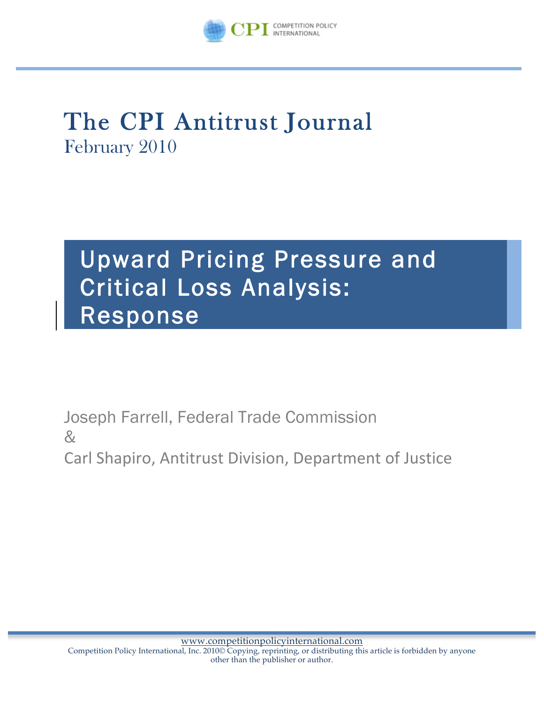

# The CPI Antitrust Journal February 2010

## Upward Pricing Pressure and Critical Loss Analysis: Response

Joseph Farrell, Federal Trade Commission &

Carl Shapiro, Antitrust Division, Department of Justice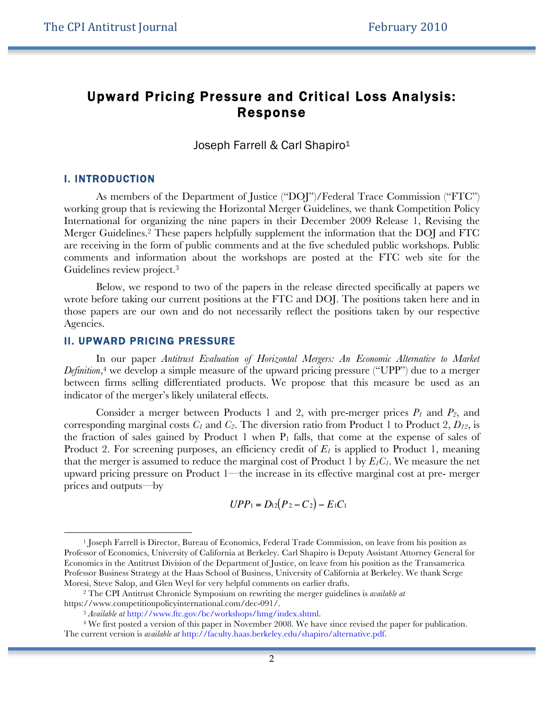### Upward Pricing Pressure and Critical Loss Analysis: Response

Joseph Farrell & Carl Shapiro<sup>1</sup>

#### I. INTRODUCTION

 $\ddot{ }$ 

As members of the Department of Justice ("DOJ")/Federal Trace Commission ("FTC") working group that is reviewing the Horizontal Merger Guidelines, we thank Competition Policy International for organizing the nine papers in their December 2009 Release 1, Revising the Merger Guidelines.2 These papers helpfully supplement the information that the DOJ and FTC are receiving in the form of public comments and at the five scheduled public workshops. Public comments and information about the workshops are posted at the FTC web site for the Guidelines review project. 3

Below, we respond to two of the papers in the release directed specifically at papers we wrote before taking our current positions at the FTC and DOJ. The positions taken here and in those papers are our own and do not necessarily reflect the positions taken by our respective Agencies.

#### II. UPWARD PRICING PRESSURE

In our paper *Antitrust Evaluation of Horizontal Mergers: An Economic Alternative to Market Definition*, <sup>4</sup> we develop a simple measure of the upward pricing pressure ("UPP") due to a merger between firms selling differentiated products. We propose that this measure be used as an indicator of the merger's likely unilateral effects.

Consider a merger between Products 1 and 2, with pre-merger prices *P1* and *P2*, and corresponding marginal costs  $C_1$  and  $C_2$ . The diversion ratio from Product 1 to Product 2,  $D_{12}$ , is the fraction of sales gained by Product 1 when  $P_1$  falls, that come at the expense of sales of Product 2. For screening purposes, an efficiency credit of  $E<sub>I</sub>$  is applied to Product 1, meaning that the merger is assumed to reduce the marginal cost of Product 1 by *E1C1*. We measure the net upward pricing pressure on Product 1—the increase in its effective marginal cost at pre- merger prices and outputs—by

$$
UPP_1 = D_{12}(P_2 - C_2) - E_1C_1
$$

Professor of Economics, University of California at Berkeley. Carl Shapiro is Deputy Assistant Attorney General for <sup>1</sup> Joseph Farrell is Director, Bureau of Economics, Federal Trade Commission, on leave from his position as Economics in the Antitrust Division of the Department of Justice, on leave from his position as the Transamerica Professor Business Strategy at the Haas School of Business, University of California at Berkeley. We thank Serge Moresi, Steve Salop, and Glen Weyl for very helpful comments on earlier drafts.

<sup>2</sup> The CPI Antitrust Chronicle Symposium on rewriting the merger guidelines is *available at* https://www.competitionpolicyinternational.com/dec-091/.

<sup>3</sup> *Available at* http://www.ftc.gov/bc/workshops/hmg/index.shtml.

<sup>4</sup> We first posted a version of this paper in November 2008. We have since revised the paper for publication. The current version is *available at* http://faculty.haas.berkeley.edu/shapiro/alternative.pdf.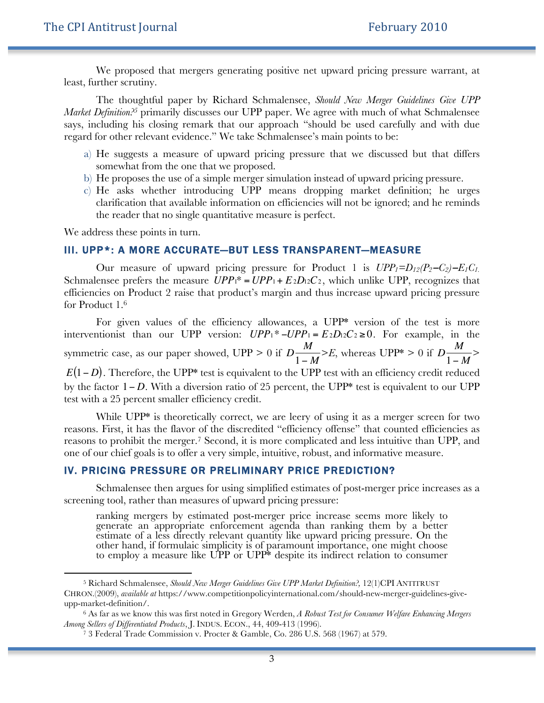We proposed that mergers generating positive net upward pricing pressure warrant, at least, further scrutiny.

The thoughtful paper by Richard Schmalensee, *Should New Merger Guidelines Give UPP Market Definition?5* primarily discusses our UPP paper. We agree with much of what Schmalensee says, including his closing remark that our approach "should be used carefully and with due regard for other relevant evidence." We take Schmalensee's main points to be:

- a) He suggests a measure of upward pricing pressure that we discussed but that differs somewhat from the one that we proposed.
- b) He proposes the use of a simple merger simulation instead of upward pricing pressure.
- c) He asks whether introducing UPP means dropping market definition; he urges clarification that available information on efficiencies will not be ignored; and he reminds the reader that no single quantitative measure is perfect.

We address these points in turn.

1

#### III. UPP\*: A MORE ACCURATE—BUT LESS TRANSPARENT—MEASURE

Our measure of upward pricing pressure for Product 1 is *UPP1=D12(P2*−*C2)*−*E1C1.* Schmalensee prefers the measure  $UPP_1^* = UPP_1 + E_2D_12C_2$ , which unlike UPP, recognizes that efficiencies on Product 2 raise that product's margin and thus increase upward pricing pressure for Product 1.6

For given values of the efficiency allowances, a UPP<sup>\*</sup> version of the test is more interventionist than our UPP version:  $UPP_1^*$  −*UPP*<sup>1</sup> =  $E_2D_12C_2 \ge 0$ . For example, in the € by the factor 1− *D*. With a diversion ratio of 25 percent, the UPP\* test is equivalent to our UPP symmetric case, as our paper showed, UPP > 0 if *D* test with a 25 percent smaller efficiency credit. *M* 1− *M*  $>E$ , whereas UPP<sup>\*</sup> > 0 if D *M* 1− *M* > *E*(1−*D*). Therefore, the UPP<sup>\*</sup> test is equivalent to the UPP test with an efficiency credit reduced

reasons. First, it has the flavor of the discredited "efficiency offense" that counted efficiencies as While UPP<sup>\*</sup> is theoretically correct, we are leery of using it as a merger screen for two reasons to prohibit the merger.7 Second, it is more complicated and less intuitive than UPP, and one of our chief goals is to offer a very simple, intuitive, robust, and informative measure.

#### IV. PRICING PRESSURE OR PRELIMINARY PRICE PREDICTION?

Schmalensee then argues for using simplified estimates of post-merger price increases as a screening tool, rather than measures of upward pricing pressure:

ranking mergers by estimated post-merger price increase seems more likely to generate an appropriate enforcement agenda than ranking them by a better estimate of a less directly relevant quantity like upward pricing pressure. On the other hand, if formulaic simplicity is of paramount importance, one might choose to employ a measure like UPP or UPP\* despite its indirect relation to consumer

<sup>5</sup> Richard Schmalensee, *Should New Merger Guidelines Give UPP Market Definition?,* 12(1)CPI ANTITRUST CHRON.(2009), *available at* https://www.competitionpolicyinternational.com/should-new-merger-guidelines-giveupp-market-definition/.

<sup>6</sup> As far as we know this was first noted in Gregory Werden, *A Robust Test for Consumer Welfare Enhancing Mergers Among Sellers of Differentiated Products*, J. INDUS. ECON., 44, 409-413 (1996).

<sup>7</sup> 3 Federal Trade Commission v. Procter & Gamble, Co. 286 U.S. 568 (1967) at 579.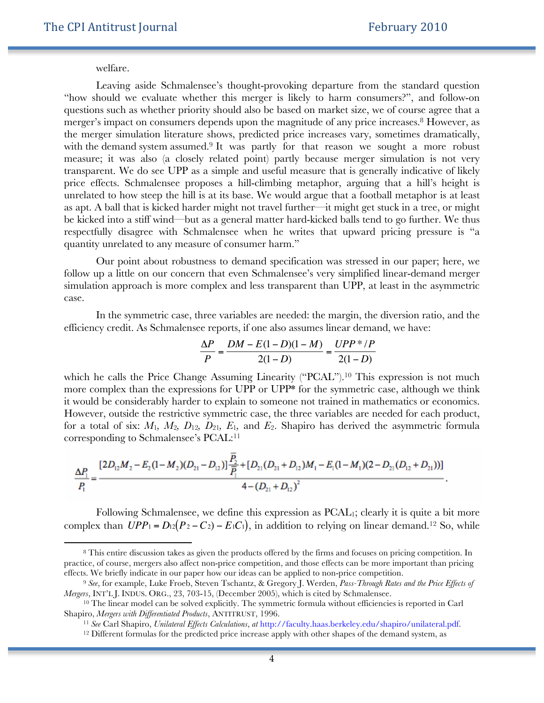welfare.

 $\overline{a}$ 

Leaving aside Schmalensee's thought-provoking departure from the standard question "how should we evaluate whether this merger is likely to harm consumers?", and follow-on questions such as whether priority should also be based on market size, we of course agree that a merger's impact on consumers depends upon the magnitude of any price increases.<sup>8</sup> However, as the merger simulation literature shows, predicted price increases vary, sometimes dramatically, with the demand system assumed.<sup>9</sup> It was partly for that reason we sought a more robust measure; it was also (a closely related point) partly because merger simulation is not very transparent. We do see UPP as a simple and useful measure that is generally indicative of likely price effects. Schmalensee proposes a hill-climbing metaphor, arguing that a hill's height is unrelated to how steep the hill is at its base. We would argue that a football metaphor is at least as apt. A ball that is kicked harder might not travel further—it might get stuck in a tree, or might be kicked into a stiff wind—but as a general matter hard-kicked balls tend to go further. We thus respectfully disagree with Schmalensee when he writes that upward pricing pressure is "a quantity unrelated to any measure of consumer harm."

Our point about robustness to demand specification was stressed in our paper; here, we follow up a little on our concern that even Schmalensee's very simplified linear-demand merger simulation approach is more complex and less transparent than UPP, at least in the asymmetric case.

In the symmetric case, three variables are needed: the margin, the diversion ratio, and the efficiency credit. As Schmalensee reports, if one also assumes linear demand, we have:

$$
\frac{\Delta P}{P} = \frac{DM - E(1 - D)(1 - M)}{2(1 - D)} = \frac{UPP * / P}{2(1 - D)}
$$

it would be considerably harder to explain to someone not trained in mathematics or economics. which he calls the Price Change Assuming Linearity ("PCAL").<sup>10</sup> This expression is not much more complex than the expressions for UPP or UPP\* for the symmetric case, although we think However, outside the restrictive symmetric case, the three variables are needed for each product, for a total of six:  $M_1$ ,  $M_2$ ,  $D_{12}$ ,  $D_{21}$ ,  $E_1$ , and  $E_2$ . Shapiro has derived the asymmetric formula corresponding to Schmalensee's PCAL:<sup>11</sup>

$$
\frac{\Delta P_1}{P_1} = \frac{[2D_{12}M_2 - E_2(1-M_2)(D_{21}-D_{12})]\frac{P_2}{P_1} + [D_{21}(D_{21}+D_{12})M_1 - E_1(1-M_1)(2-D_{21}(D_{12}+D_{21}))]}{4-(D_{21}+D_{12})^2}.
$$

Following Schmalensee, we define this expression as PCAL1; clearly it is quite a bit more complex than  $UPP_1 = D_{12}(P_2 - C_2) - E_1C_1$ , in addition to relying on linear demand.<sup>12</sup> So, while

<sup>€</sup> effects. We briefly indicate in our paper how our ideas can be applied to non-price competition. <sup>8</sup> This entire discussion takes as given the products offered by the firms and focuses on pricing competition. In practice, of course, mergers also affect non-price competition, and those effects can be more important than pricing

<sup>9</sup> *See*, for example, Luke Froeb, Steven Tschantz, & Gregory J. Werden, *Pass-Through Rates and the Price Effects of Mergers*, INT'L J. INDUS. ORG., 23, 703-15, (December 2005), which is cited by Schmalensee.

<sup>10</sup> The linear model can be solved explicitly. The symmetric formula without efficiencies is reported in Carl Shapiro, *Mergers with Differentiated Products*, ANTITRUST, 1996.

<sup>&</sup>lt;sup>11</sup> See Carl Shapiro, *Unilateral Effects Calculations*, *at* http://faculty.haas.berkeley.edu/shapiro/unilateral.pdf.<br><sup>12</sup> Different formulas for the predicted price increase apply with other shapes of the demand system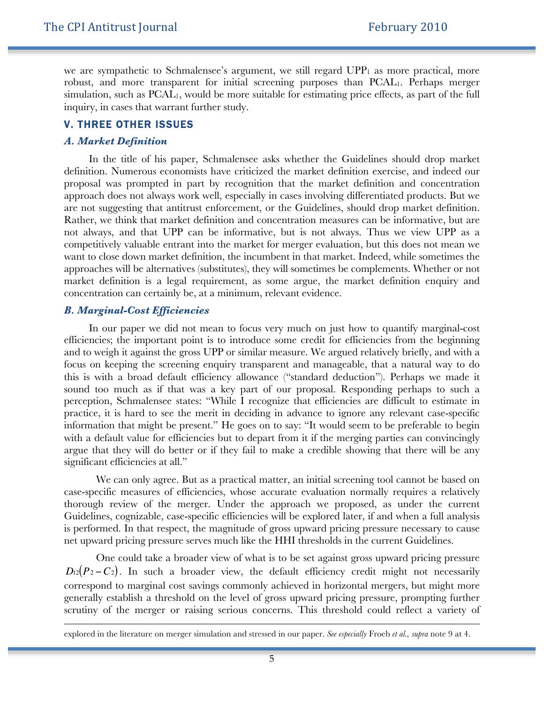we are sympathetic to Schmalensee's argument, we still regard  $UPP<sub>1</sub>$  as more practical, more robust, and more transparent for initial screening purposes than PCAL1. Perhaps merger simulation, such as PCAL<sub>1</sub>, would be more suitable for estimating price effects, as part of the full inquiry, in cases that warrant further study.

#### V. THREE OTHER ISSUES

#### *A. Market Definition*

In the title of his paper, Schmalensee asks whether the Guidelines should drop market definition. Numerous economists have criticized the market definition exercise, and indeed our proposal was prompted in part by recognition that the market definition and concentration approach does not always work well, especially in cases involving differentiated products. But we are not suggesting that antitrust enforcement, or the Guidelines, should drop market definition. Rather, we think that market definition and concentration measures can be informative, but are not always, and that UPP can be informative, but is not always. Thus we view UPP as a competitively valuable entrant into the market for merger evaluation, but this does not mean we want to close down market definition, the incumbent in that market. Indeed, while sometimes the approaches will be alternatives (substitutes), they will sometimes be complements. Whether or not market definition is a legal requirement, as some argue, the market definition enquiry and concentration can certainly be, at a minimum, relevant evidence.

#### *B. Marginal-Cost Efficiencies*

 $\overline{a}$ 

In our paper we did not mean to focus very much on just how to quantify marginal-cost efficiencies; the important point is to introduce some credit for efficiencies from the beginning and to weigh it against the gross UPP or similar measure. We argued relatively briefly, and with a focus on keeping the screening enquiry transparent and manageable, that a natural way to do this is with a broad default efficiency allowance ("standard deduction"). Perhaps we made it sound too much as if that was a key part of our proposal. Responding perhaps to such a perception, Schmalensee states: "While I recognize that efficiencies are difficult to estimate in practice, it is hard to see the merit in deciding in advance to ignore any relevant case-specific information that might be present." He goes on to say: "It would seem to be preferable to begin with a default value for efficiencies but to depart from it if the merging parties can convincingly argue that they will do better or if they fail to make a credible showing that there will be any significant efficiencies at all."

We can only agree. But as a practical matter, an initial screening tool cannot be based on case-specific measures of efficiencies, whose accurate evaluation normally requires a relatively thorough review of the merger. Under the approach we proposed, as under the current Guidelines, cognizable, case-specific efficiencies will be explored later, if and when a full analysis is performed. In that respect, the magnitude of gross upward pricing pressure necessary to cause net upward pricing pressure serves much like the HHI thresholds in the current Guidelines.

One could take a broader view of what is to be set against gross upward pricing pressure  $D_{12}(P_2 - C_2)$ . In such a broader view, the default efficiency credit might not necessarily correspond to marginal cost savings commonly achieved in horizontal mergers, but might more generally establish a threshold on the level of gross upward pricing pressure, prompting further scrutiny of the merger or raising serious concerns. This threshold could reflect a variety of

explored in the literature on merger simulation and stressed in our paper. *See especially* Froeb *et al., supra* note 9 at 4.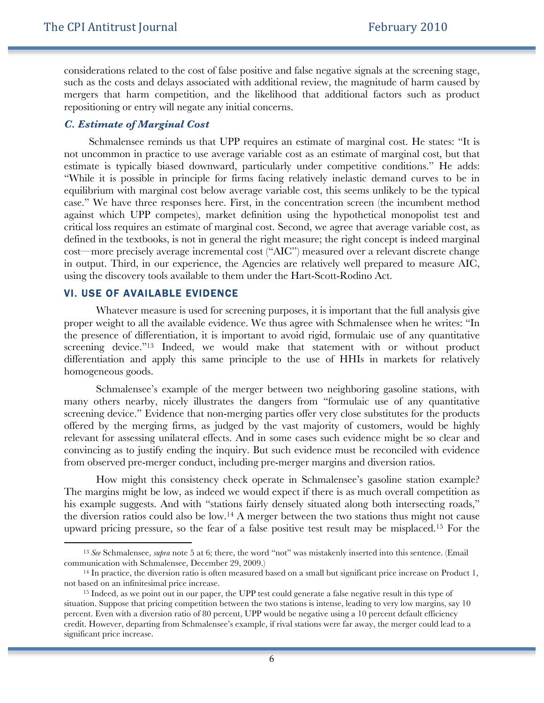considerations related to the cost of false positive and false negative signals at the screening stage, such as the costs and delays associated with additional review, the magnitude of harm caused by mergers that harm competition, and the likelihood that additional factors such as product repositioning or entry will negate any initial concerns.

#### *C. Estimate of Marginal Cost*

Schmalensee reminds us that UPP requires an estimate of marginal cost. He states: "It is not uncommon in practice to use average variable cost as an estimate of marginal cost, but that estimate is typically biased downward, particularly under competitive conditions." He adds: "While it is possible in principle for firms facing relatively inelastic demand curves to be in equilibrium with marginal cost below average variable cost, this seems unlikely to be the typical case." We have three responses here. First, in the concentration screen (the incumbent method against which UPP competes), market definition using the hypothetical monopolist test and critical loss requires an estimate of marginal cost. Second, we agree that average variable cost, as defined in the textbooks, is not in general the right measure; the right concept is indeed marginal cost—more precisely average incremental cost ("AIC") measured over a relevant discrete change in output. Third, in our experience, the Agencies are relatively well prepared to measure AIC, using the discovery tools available to them under the Hart-Scott-Rodino Act.

#### VI. USE OF AVAILABLE EVIDENCE

 $\overline{a}$ 

Whatever measure is used for screening purposes, it is important that the full analysis give proper weight to all the available evidence. We thus agree with Schmalensee when he writes: "In the presence of differentiation, it is important to avoid rigid, formulaic use of any quantitative screening device."13 Indeed, we would make that statement with or without product differentiation and apply this same principle to the use of HHIs in markets for relatively homogeneous goods.

Schmalensee's example of the merger between two neighboring gasoline stations, with many others nearby, nicely illustrates the dangers from "formulaic use of any quantitative screening device." Evidence that non-merging parties offer very close substitutes for the products offered by the merging firms, as judged by the vast majority of customers, would be highly relevant for assessing unilateral effects. And in some cases such evidence might be so clear and convincing as to justify ending the inquiry. But such evidence must be reconciled with evidence from observed pre-merger conduct, including pre-merger margins and diversion ratios.

How might this consistency check operate in Schmalensee's gasoline station example? The margins might be low, as indeed we would expect if there is as much overall competition as his example suggests. And with "stations fairly densely situated along both intersecting roads," the diversion ratios could also be low.14 A merger between the two stations thus might not cause upward pricing pressure, so the fear of a false positive test result may be misplaced.15 For the

<sup>13</sup> *See* Schmalensee, *supra* note 5 at 6; there, the word "not" was mistakenly inserted into this sentence. (Email communication with Schmalensee, December 29, 2009.)

<sup>14</sup> In practice, the diversion ratio is often measured based on a small but significant price increase on Product 1, not based on an infinitesimal price increase.

<sup>&</sup>lt;sup>15</sup> Indeed, as we point out in our paper, the UPP test could generate a false negative result in this type of situation. Suppose that pricing competition between the two stations is intense, leading to very low margins, say 10 percent. Even with a diversion ratio of 80 percent, UPP would be negative using a 10 percent default efficiency credit. However, departing from Schmalensee's example, if rival stations were far away, the merger could lead to a significant price increase.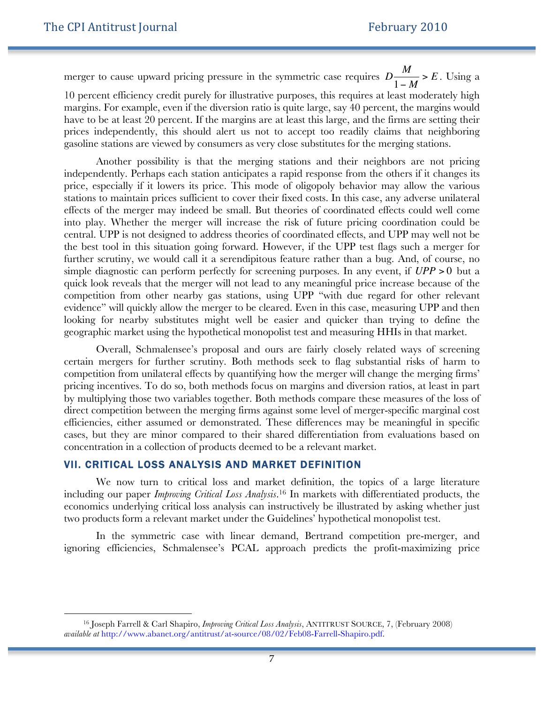$\ddot{ }$ 

merger to cause upward pricing pressure in the symmetric case requires *D* prices independently, this should alert us not to accept too readily claims that neighboring *M* 1− *M*  $> E$ . Using a 10 percent efficiency credit purely for illustrative purposes, this requires at least moderately high margins. For example, even if the diversion ratio is quite large, say 40 percent, the margins would have to be at least 20 percent. If the margins are at least this large, and the firms are setting their gasoline stations are viewed by consumers as very close substitutes for the merging stations.

Another possibility is that the merging stations and their neighbors are not pricing independently. Perhaps each station anticipates a rapid response from the others if it changes its price, especially if it lowers its price. This mode of oligopoly behavior may allow the various stations to maintain prices sufficient to cover their fixed costs. In this case, any adverse unilateral effects of the merger may indeed be small. But theories of coordinated effects could well come into play. Whether the merger will increase the risk of future pricing coordination could be central. UPP is not designed to address theories of coordinated effects, and UPP may well not be the best tool in this situation going forward. However, if the UPP test flags such a merger for further scrutiny, we would call it a serendipitous feature rather than a bug. And, of course, no simple diagnostic can perform perfectly for screening purposes. In any event, if *UPP* > 0 but a looking for nearby substitutes might well be easier and quicker than trying to define the quick look reveals that the merger will not lead to any meaningful price increase because of the competition from other nearby gas stations, using UPP "with due regard for other relevant evidence" will quickly allow the merger to be cleared. Even in this case, measuring UPP and then geographic market using the hypothetical monopolist test and measuring HHIs in that market.

Overall, Schmalensee's proposal and ours are fairly closely related ways of screening certain mergers for further scrutiny. Both methods seek to flag substantial risks of harm to competition from unilateral effects by quantifying how the merger will change the merging firms' pricing incentives. To do so, both methods focus on margins and diversion ratios, at least in part by multiplying those two variables together. Both methods compare these measures of the loss of direct competition between the merging firms against some level of merger-specific marginal cost efficiencies, either assumed or demonstrated. These differences may be meaningful in specific cases, but they are minor compared to their shared differentiation from evaluations based on concentration in a collection of products deemed to be a relevant market.

#### VII. CRITICAL LOSS ANALYSIS AND MARKET DEFINITION

We now turn to critical loss and market definition, the topics of a large literature including our paper *Improving Critical Loss Analysis*. <sup>16</sup> In markets with differentiated products, the economics underlying critical loss analysis can instructively be illustrated by asking whether just two products form a relevant market under the Guidelines' hypothetical monopolist test.

In the symmetric case with linear demand, Bertrand competition pre-merger, and ignoring efficiencies, Schmalensee's PCAL approach predicts the profit-maximizing price

<sup>16</sup> Joseph Farrell & Carl Shapiro, *Improving Critical Loss Analysis*, ANTITRUST SOURCE, 7, (February 2008) *available at* http://www.abanet.org/antitrust/at-source/08/02/Feb08-Farrell-Shapiro.pdf.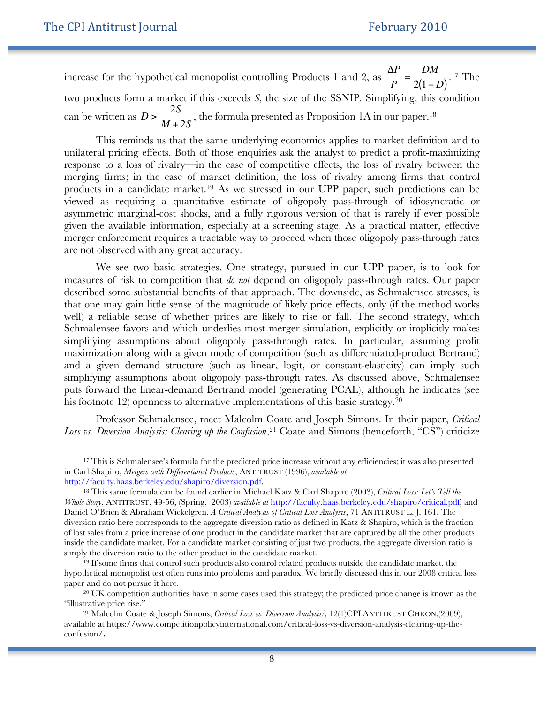$\overline{a}$ 

increase for the hypothetical monopolist controlling Products 1 and 2, as  $\frac{\Delta P}{P} = \frac{DM}{2(1-D)}$ . <sup>17</sup> The two products form a market if this exceeds *S*, the size of the SSNIP. Simplifying, this condition can be written as *D* > 2*S M* + 2*S* , the formula presented as Proposition 1A in our paper.18

 $\ddot{\phantom{a}}$ response to a loss of rivalry—in the case of competitive effects, the loss of rivalry between the This reminds us that the same underlying economics applies to market definition and to unilateral pricing effects. Both of those enquiries ask the analyst to predict a profit-maximizing merging firms; in the case of market definition, the loss of rivalry among firms that control products in a candidate market.19 As we stressed in our UPP paper, such predictions can be viewed as requiring a quantitative estimate of oligopoly pass-through of idiosyncratic or asymmetric marginal-cost shocks, and a fully rigorous version of that is rarely if ever possible given the available information, especially at a screening stage. As a practical matter, effective merger enforcement requires a tractable way to proceed when those oligopoly pass-through rates are not observed with any great accuracy.

We see two basic strategies. One strategy, pursued in our UPP paper, is to look for measures of risk to competition that *do not* depend on oligopoly pass-through rates. Our paper described some substantial benefits of that approach. The downside, as Schmalensee stresses, is that one may gain little sense of the magnitude of likely price effects, only (if the method works well) a reliable sense of whether prices are likely to rise or fall. The second strategy, which Schmalensee favors and which underlies most merger simulation, explicitly or implicitly makes simplifying assumptions about oligopoly pass-through rates. In particular, assuming profit maximization along with a given mode of competition (such as differentiated-product Bertrand) and a given demand structure (such as linear, logit, or constant-elasticity) can imply such simplifying assumptions about oligopoly pass-through rates. As discussed above, Schmalensee puts forward the linear-demand Bertrand model (generating PCAL), although he indicates (see his footnote 12) openness to alternative implementations of this basic strategy.<sup>20</sup>

Professor Schmalensee, meet Malcolm Coate and Joseph Simons. In their paper, *Critical Loss vs. Diversion Analysis: Clearing up the Confusion*, 21 Coate and Simons (henceforth, "CS") criticize

<sup>&</sup>lt;sup>17</sup> This is Schmalensee's formula for the predicted price increase without any efficiencies; it was also presented in Carl Shapiro, *Mergers with Differentiated Products*, ANTITRUST (1996), *available at* http://faculty.haas.berkeley.edu/shapiro/diversion.pdf.

<sup>18</sup> This same formula can be found earlier in Michael Katz & Carl Shapiro (2003), *Critical Loss: Let's Tell the Whole Story*, ANTITRUST, 49-56, (Spring, 2003) *available at* http://faculty.haas.berkeley.edu/shapiro/critical.pdf, and Daniel O'Brien & Abraham Wickelgren, *A Critical Analysis of Critical Loss Analysis*, 71 ANTITRUST L. J. 161. The diversion ratio here corresponds to the aggregate diversion ratio as defined in Katz & Shapiro, which is the fraction of lost sales from a price increase of one product in the candidate market that are captured by all the other products inside the candidate market. For a candidate market consisting of just two products, the aggregate diversion ratio is simply the diversion ratio to the other product in the candidate market.

<sup>&</sup>lt;sup>19</sup> If some firms that control such products also control related products outside the candidate market, the hypothetical monopolist test often runs into problems and paradox. We briefly discussed this in our 2008 critical loss paper and do not pursue it here.

<sup>&</sup>lt;sup>20</sup> UK competition authorities have in some cases used this strategy; the predicted price change is known as the "illustrative price rise."

<sup>21</sup> Malcolm Coate & Joseph Simons, *Critical Loss vs. Diversion Analysis?,* 12(1)CPI ANTITRUST CHRON.(2009), available at https://www.competitionpolicyinternational.com/critical-loss-vs-diversion-analysis-clearing-up-theconfusion/**.**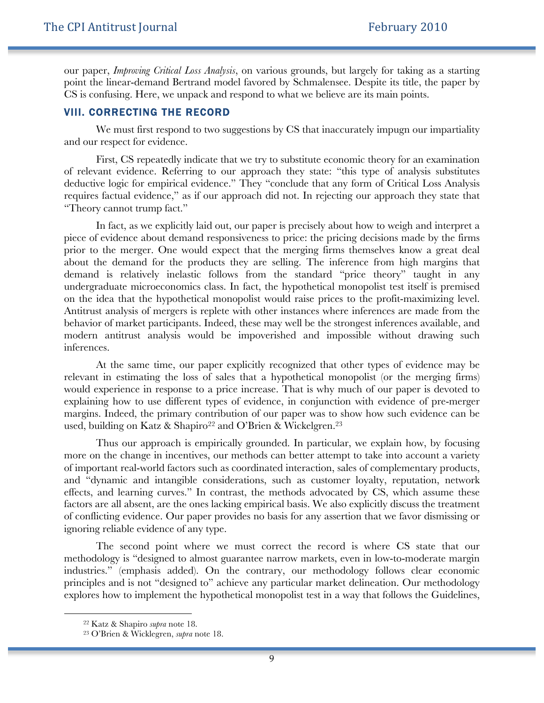our paper, *Improving Critical Loss Analysis*, on various grounds, but largely for taking as a starting point the linear-demand Bertrand model favored by Schmalensee. Despite its title, the paper by CS is confusing. Here, we unpack and respond to what we believe are its main points.

#### VIII. CORRECTING THE RECORD

We must first respond to two suggestions by CS that inaccurately impugn our impartiality and our respect for evidence.

First, CS repeatedly indicate that we try to substitute economic theory for an examination of relevant evidence. Referring to our approach they state: "this type of analysis substitutes deductive logic for empirical evidence." They "conclude that any form of Critical Loss Analysis requires factual evidence," as if our approach did not. In rejecting our approach they state that "Theory cannot trump fact."

In fact, as we explicitly laid out, our paper is precisely about how to weigh and interpret a piece of evidence about demand responsiveness to price: the pricing decisions made by the firms prior to the merger. One would expect that the merging firms themselves know a great deal about the demand for the products they are selling. The inference from high margins that demand is relatively inelastic follows from the standard "price theory" taught in any undergraduate microeconomics class. In fact, the hypothetical monopolist test itself is premised on the idea that the hypothetical monopolist would raise prices to the profit-maximizing level. Antitrust analysis of mergers is replete with other instances where inferences are made from the behavior of market participants. Indeed, these may well be the strongest inferences available, and modern antitrust analysis would be impoverished and impossible without drawing such inferences.

At the same time, our paper explicitly recognized that other types of evidence may be relevant in estimating the loss of sales that a hypothetical monopolist (or the merging firms) would experience in response to a price increase. That is why much of our paper is devoted to explaining how to use different types of evidence, in conjunction with evidence of pre-merger margins. Indeed, the primary contribution of our paper was to show how such evidence can be used, building on Katz & Shapiro<sup>22</sup> and O'Brien & Wickelgren.<sup>23</sup>

Thus our approach is empirically grounded. In particular, we explain how, by focusing more on the change in incentives, our methods can better attempt to take into account a variety of important real-world factors such as coordinated interaction, sales of complementary products, and "dynamic and intangible considerations, such as customer loyalty, reputation, network effects, and learning curves." In contrast, the methods advocated by CS, which assume these factors are all absent, are the ones lacking empirical basis. We also explicitly discuss the treatment of conflicting evidence. Our paper provides no basis for any assertion that we favor dismissing or ignoring reliable evidence of any type.

The second point where we must correct the record is where CS state that our methodology is "designed to almost guarantee narrow markets, even in low-to-moderate margin industries." (emphasis added). On the contrary, our methodology follows clear economic principles and is not "designed to" achieve any particular market delineation. Our methodology explores how to implement the hypothetical monopolist test in a way that follows the Guidelines,

 $\ddot{ }$ 

<sup>22</sup> Katz & Shapiro *supra* note 18.

<sup>23</sup> O'Brien & Wicklegren, *supra* note 18.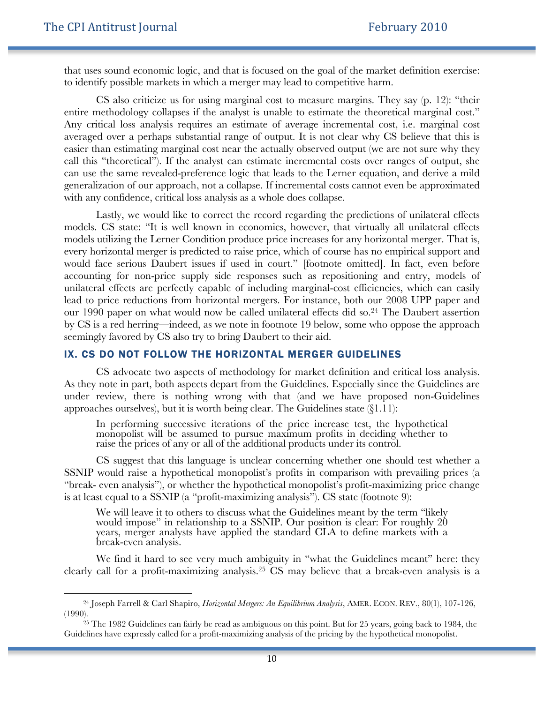1

that uses sound economic logic, and that is focused on the goal of the market definition exercise: to identify possible markets in which a merger may lead to competitive harm.

CS also criticize us for using marginal cost to measure margins. They say (p. 12): "their entire methodology collapses if the analyst is unable to estimate the theoretical marginal cost." Any critical loss analysis requires an estimate of average incremental cost, i.e. marginal cost averaged over a perhaps substantial range of output. It is not clear why CS believe that this is easier than estimating marginal cost near the actually observed output (we are not sure why they call this "theoretical"). If the analyst can estimate incremental costs over ranges of output, she can use the same revealed-preference logic that leads to the Lerner equation, and derive a mild generalization of our approach, not a collapse. If incremental costs cannot even be approximated with any confidence, critical loss analysis as a whole does collapse.

Lastly, we would like to correct the record regarding the predictions of unilateral effects models. CS state: "It is well known in economics, however, that virtually all unilateral effects models utilizing the Lerner Condition produce price increases for any horizontal merger. That is, every horizontal merger is predicted to raise price, which of course has no empirical support and would face serious Daubert issues if used in court." [footnote omitted]. In fact, even before accounting for non-price supply side responses such as repositioning and entry, models of unilateral effects are perfectly capable of including marginal-cost efficiencies, which can easily lead to price reductions from horizontal mergers. For instance, both our 2008 UPP paper and our 1990 paper on what would now be called unilateral effects did so.<sup>24</sup> The Daubert assertion by CS is a red herring—indeed, as we note in footnote 19 below, some who oppose the approach seemingly favored by CS also try to bring Daubert to their aid.

#### IX. CS DO NOT FOLLOW THE HORIZONTAL MERGER GUIDELINES

CS advocate two aspects of methodology for market definition and critical loss analysis. As they note in part, both aspects depart from the Guidelines. Especially since the Guidelines are under review, there is nothing wrong with that (and we have proposed non-Guidelines approaches ourselves), but it is worth being clear. The Guidelines state (§1.11):

In performing successive iterations of the price increase test, the hypothetical monopolist will be assumed to pursue maximum profits in deciding whether to raise the prices of any or all of the additional products under its control.

CS suggest that this language is unclear concerning whether one should test whether a SSNIP would raise a hypothetical monopolist's profits in comparison with prevailing prices (a "break- even analysis"), or whether the hypothetical monopolist's profit-maximizing price change is at least equal to a SSNIP (a "profit-maximizing analysis"). CS state (footnote 9):

We will leave it to others to discuss what the Guidelines meant by the term "likely would impose" in relationship to a SSNIP. Our position is clear: For roughly 20 years, merger analysts have applied the standard CLA to define markets with a break-even analysis.

We find it hard to see very much ambiguity in "what the Guidelines meant" here: they clearly call for a profit-maximizing analysis.25 CS may believe that a break-even analysis is a

<sup>24</sup> Joseph Farrell & Carl Shapiro, *Horizontal Mergers: An Equilibrium Analysis*, AMER. ECON. REV., 80(1), 107-126, (1990).

<sup>&</sup>lt;sup>25</sup> The 1982 Guidelines can fairly be read as ambiguous on this point. But for 25 years, going back to 1984, the Guidelines have expressly called for a profit-maximizing analysis of the pricing by the hypothetical monopolist.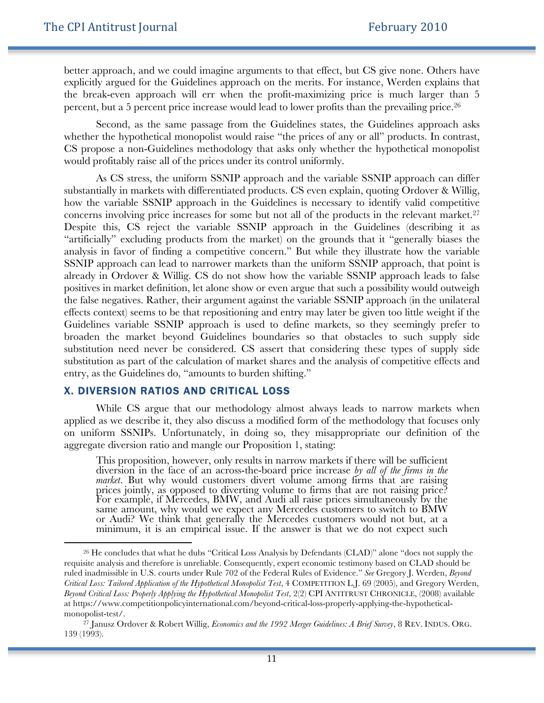better approach, and we could imagine arguments to that effect, but CS give none. Others have explicitly argued for the Guidelines approach on the merits. For instance, Werden explains that the break-even approach will err when the profit-maximizing price is much larger than 5 percent, but a 5 percent price increase would lead to lower profits than the prevailing price.26

Second, as the same passage from the Guidelines states, the Guidelines approach asks whether the hypothetical monopolist would raise "the prices of any or all" products. In contrast, CS propose a non-Guidelines methodology that asks only whether the hypothetical monopolist would profitably raise all of the prices under its control uniformly.

As CS stress, the uniform SSNIP approach and the variable SSNIP approach can differ substantially in markets with differentiated products. CS even explain, quoting Ordover & Willig, how the variable SSNIP approach in the Guidelines is necessary to identify valid competitive concerns involving price increases for some but not all of the products in the relevant market.<sup>27</sup> Despite this, CS reject the variable SSNIP approach in the Guidelines (describing it as "artificially" excluding products from the market) on the grounds that it "generally biases the analysis in favor of finding a competitive concern." But while they illustrate how the variable SSNIP approach can lead to narrower markets than the uniform SSNIP approach, that point is already in Ordover & Willig. CS do not show how the variable SSNIP approach leads to false positives in market definition, let alone show or even argue that such a possibility would outweigh the false negatives. Rather, their argument against the variable SSNIP approach (in the unilateral effects context) seems to be that repositioning and entry may later be given too little weight if the Guidelines variable SSNIP approach is used to define markets, so they seemingly prefer to broaden the market beyond Guidelines boundaries so that obstacles to such supply side substitution need never be considered. CS assert that considering these types of supply side substitution as part of the calculation of market shares and the analysis of competitive effects and entry, as the Guidelines do, "amounts to burden shifting."

#### X. DIVERSION RATIOS AND CRITICAL LOSS

 $\overline{a}$ 

While CS argue that our methodology almost always leads to narrow markets when applied as we describe it, they also discuss a modified form of the methodology that focuses only on uniform SSNIPs. Unfortunately, in doing so, they misappropriate our definition of the aggregate diversion ratio and mangle our Proposition 1, stating:

This proposition, however, only results in narrow markets if there will be sufficient diversion in the face of an across-the-board price increase *by all of the firms in the market*. But why would customers divert volume among firms that are raising prices jointly, as opposed to diverting volume to firms that are not raising price? For example, if Mercedes, BMW, and Audi all raise prices simultaneously by the same amount, why would we expect any Mercedes customers to switch to BMW or Audi? We think that generally the Mercedes customers would not but, at a minimum, it is an empirical issue. If the answer is that we do not expect such

<sup>26</sup> He concludes that what he dubs "Critical Loss Analysis by Defendants (CLAD)" alone "does not supply the requisite analysis and therefore is unreliable. Consequently, expert economic testimony based on CLAD should be ruled inadmissible in U.S. courts under Rule 702 of the Federal Rules of Evidence." *See* Gregory J. Werden, *Beyond Critical Loss: Tailored Application of the Hypothetical Monopolist Test*, 4 COMPETITION L.J. 69 (2005), and Gregory Werden, *Beyond Critical Loss: Properly Applying the Hypothetical Monopolist Test*, 2(2) CPI ANTITRUST CHRONICLE, (2008) available at https://www.competitionpolicyinternational.com/beyond-critical-loss-properly-applying-the-hypotheticalmonopolist-test/.

<sup>27</sup> Janusz Ordover & Robert Willig, *Economics and the 1992 Merger Guidelines: A Brief Survey*, 8 REV. INDUS. ORG. 139 (1993).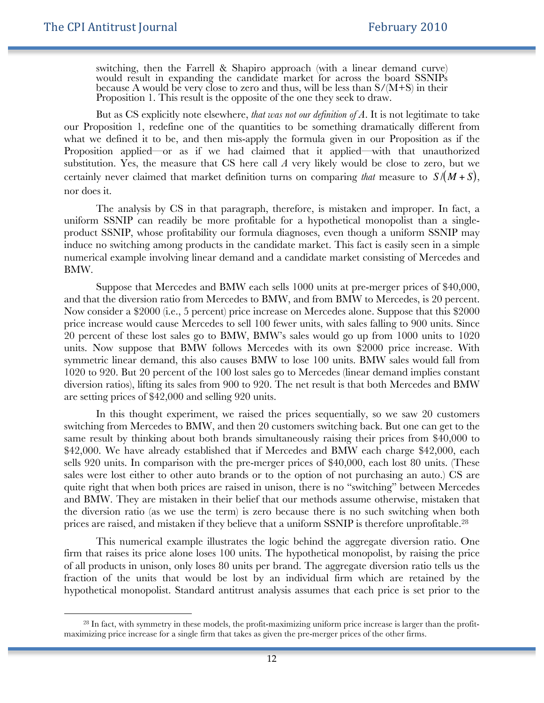$\ddot{ }$ 

switching, then the Farrell & Shapiro approach (with a linear demand curve) would result in expanding the candidate market for across the board SSNIPs because A would be very close to zero and thus, will be less than  $S/(M+S)$  in their Proposition 1. This result is the opposite of the one they seek to draw.

But as CS explicitly note elsewhere, *that was not our definition of A*. It is not legitimate to take our Proposition 1, redefine one of the quantities to be something dramatically different from what we defined it to be, and then mis-apply the formula given in our Proposition as if the Proposition applied—or as if we had claimed that it applied—with that unauthorized substitution. Yes, the measure that CS here call *A* very likely would be close to zero, but we certainly never claimed that market definition turns on comparing *that* measure to *S* /(*M* + *S*), nor does it.

uniform SSNIP can readily be more profitable for a hypothetical monopolist than a single-The analysis by CS in that paragraph, therefore, is mistaken and improper. In fact, a product SSNIP, whose profitability our formula diagnoses, even though a uniform SSNIP may induce no switching among products in the candidate market. This fact is easily seen in a simple numerical example involving linear demand and a candidate market consisting of Mercedes and BMW.

Suppose that Mercedes and BMW each sells 1000 units at pre-merger prices of \$40,000, and that the diversion ratio from Mercedes to BMW, and from BMW to Mercedes, is 20 percent. Now consider a \$2000 (i.e., 5 percent) price increase on Mercedes alone. Suppose that this \$2000 price increase would cause Mercedes to sell 100 fewer units, with sales falling to 900 units. Since 20 percent of these lost sales go to BMW, BMW's sales would go up from 1000 units to 1020 units. Now suppose that BMW follows Mercedes with its own \$2000 price increase. With symmetric linear demand, this also causes BMW to lose 100 units. BMW sales would fall from 1020 to 920. But 20 percent of the 100 lost sales go to Mercedes (linear demand implies constant diversion ratios), lifting its sales from 900 to 920. The net result is that both Mercedes and BMW are setting prices of \$42,000 and selling 920 units.

In this thought experiment, we raised the prices sequentially, so we saw 20 customers switching from Mercedes to BMW, and then 20 customers switching back. But one can get to the same result by thinking about both brands simultaneously raising their prices from \$40,000 to \$42,000. We have already established that if Mercedes and BMW each charge \$42,000, each sells 920 units. In comparison with the pre-merger prices of \$40,000, each lost 80 units. (These sales were lost either to other auto brands or to the option of not purchasing an auto.) CS are quite right that when both prices are raised in unison, there is no "switching" between Mercedes and BMW. They are mistaken in their belief that our methods assume otherwise, mistaken that the diversion ratio (as we use the term) is zero because there is no such switching when both prices are raised, and mistaken if they believe that a uniform SSNIP is therefore unprofitable.28

This numerical example illustrates the logic behind the aggregate diversion ratio. One firm that raises its price alone loses 100 units. The hypothetical monopolist, by raising the price of all products in unison, only loses 80 units per brand. The aggregate diversion ratio tells us the fraction of the units that would be lost by an individual firm which are retained by the hypothetical monopolist. Standard antitrust analysis assumes that each price is set prior to the

<sup>&</sup>lt;sup>28</sup> In fact, with symmetry in these models, the profit-maximizing uniform price increase is larger than the profitmaximizing price increase for a single firm that takes as given the pre-merger prices of the other firms.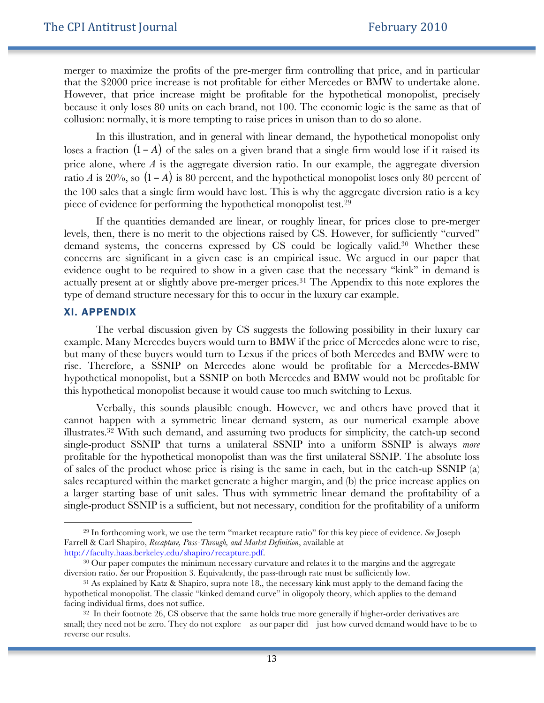merger to maximize the profits of the pre-merger firm controlling that price, and in particular that the \$2000 price increase is not profitable for either Mercedes or BMW to undertake alone. However, that price increase might be profitable for the hypothetical monopolist, precisely because it only loses 80 units on each brand, not 100. The economic logic is the same as that of collusion: normally, it is more tempting to raise prices in unison than to do so alone.

In this illustration, and in general with linear demand, the hypothetical monopolist only loses a fraction (1− *A*) of the sales on a given brand that a single firm would lose if it raised its piece of evidence for performing the hypothetical monopolist test.<sup>29</sup> price alone, where *A* is the aggregate diversion ratio. In our example, the aggregate diversion ratio *A* is 20%, so (1− *A*) is 80 percent, and the hypothetical monopolist loses only 80 percent of the 100 sales that a single firm would have lost. This is why the aggregate diversion ratio is a key

 $\mathbf{r}$ If the quantities demanded are linear, or roughly linear, for prices close to pre-merger levels, then, there is no merit to the objections raised by CS. However, for sufficiently "curved" demand systems, the concerns expressed by CS could be logically valid.30 Whether these concerns are significant in a given case is an empirical issue. We argued in our paper that evidence ought to be required to show in a given case that the necessary "kink" in demand is actually present at or slightly above pre-merger prices.31 The Appendix to this note explores the type of demand structure necessary for this to occur in the luxury car example.

#### XI. APPENDIX

1

The verbal discussion given by CS suggests the following possibility in their luxury car example. Many Mercedes buyers would turn to BMW if the price of Mercedes alone were to rise, but many of these buyers would turn to Lexus if the prices of both Mercedes and BMW were to rise. Therefore, a SSNIP on Mercedes alone would be profitable for a Mercedes-BMW hypothetical monopolist, but a SSNIP on both Mercedes and BMW would not be profitable for this hypothetical monopolist because it would cause too much switching to Lexus.

Verbally, this sounds plausible enough. However, we and others have proved that it cannot happen with a symmetric linear demand system, as our numerical example above illustrates.32 With such demand, and assuming two products for simplicity, the catch-up second single-product SSNIP that turns a unilateral SSNIP into a uniform SSNIP is always *more* profitable for the hypothetical monopolist than was the first unilateral SSNIP. The absolute loss of sales of the product whose price is rising is the same in each, but in the catch-up SSNIP (a) sales recaptured within the market generate a higher margin, and (b) the price increase applies on a larger starting base of unit sales. Thus with symmetric linear demand the profitability of a single-product SSNIP is a sufficient, but not necessary, condition for the profitability of a uniform

<sup>29</sup> In forthcoming work, we use the term "market recapture ratio" for this key piece of evidence. *See* Joseph Farrell & Carl Shapiro, *Recapture, Pass-Through, and Market Definition*, available at http://faculty.haas.berkeley.edu/shapiro/recapture.pdf.

<sup>&</sup>lt;sup>30</sup> Our paper computes the minimum necessary curvature and relates it to the margins and the aggregate diversion ratio. *See* our Proposition 3. Equivalently, the pass-through rate must be sufficiently low.

<sup>&</sup>lt;sup>31</sup> As explained by Katz & Shapiro, supra note 18,, the necessary kink must apply to the demand facing the hypothetical monopolist. The classic "kinked demand curve" in oligopoly theory, which applies to the demand facing individual firms, does not suffice.

<sup>32</sup> In their footnote 26, CS observe that the same holds true more generally if higher-order derivatives are small; they need not be zero. They do not explore—as our paper did—just how curved demand would have to be to reverse our results.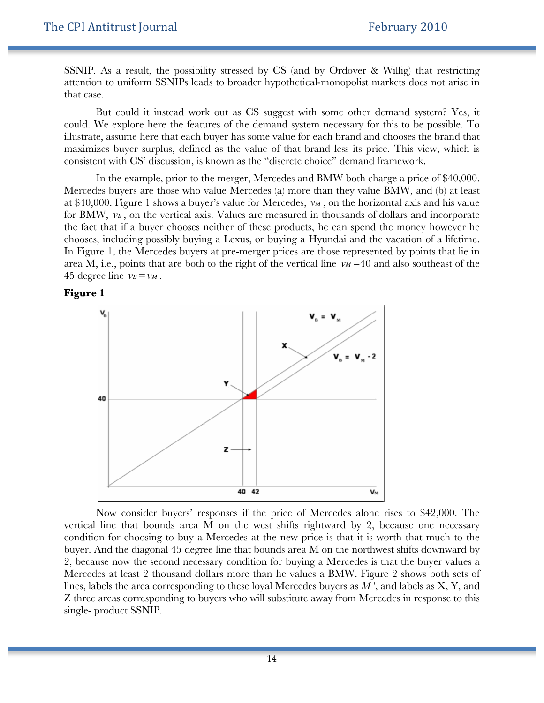SSNIP. As a result, the possibility stressed by CS (and by Ordover & Willig) that restricting attention to uniform SSNIPs leads to broader hypothetical-monopolist markets does not arise in that case.

But could it instead work out as CS suggest with some other demand system? Yes, it could. We explore here the features of the demand system necessary for this to be possible. To illustrate, assume here that each buyer has some value for each brand and chooses the brand that maximizes buyer surplus, defined as the value of that brand less its price. This view, which is consistent with CS' discussion, is known as the "discrete choice" demand framework.

In the example, prior to the merger, Mercedes and BMW both charge a price of \$40,000. Mercedes buyers are those who value Mercedes (a) more than they value BMW, and (b) at least at \$40,000. Figure 1 shows a buyer's value for Mercedes,  $\nu_M$ , on the horizontal axis and his value Enouses, metaling possibly baying a Lexas, or baying a 11yandar and the vacation or a metane.<br>In Figure 1, the Mercedes buyers at pre-merger prices are those represented by points that lie in for BMW,  $v_B$ , on the vertical axis. Values are measured in thousands of dollars and incorporate area M, i.e., points that are both to the right of the vertical line  $v_M$  =40 and also southeast of the the fact that if a buyer chooses neither of these products, he can spend the money however he chooses, including possibly buying a Lexus, or buying a Hyundai and the vacation of a lifetime. 45 degree line  $v_B = v_M$ .





Now consider buyers' responses if the price of Mercedes alone rises to \$42,000. The vertical line that bounds area M on the west shifts rightward by 2, because one necessary condition for choosing to buy a Mercedes at the new price is that it is worth that much to the buyer. And the diagonal 45 degree line that bounds area M on the northwest shifts downward by 2, because now the second necessary condition for buying a Mercedes is that the buyer values a Mercedes at least 2 thousand dollars more than he values a BMW. Figure 2 shows both sets of lines, labels the area corresponding to these loyal Mercedes buyers as *M* ', and labels as X, Y, and Z three areas corresponding to buyers who will substitute away from Mercedes in response to this single- product SSNIP.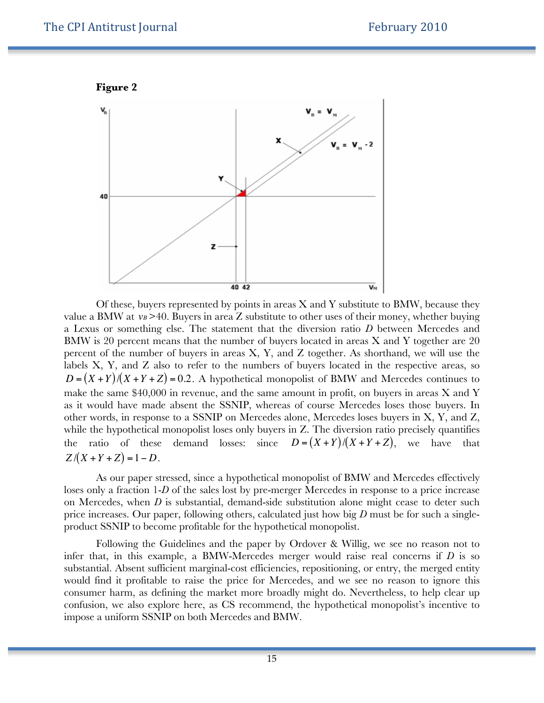



Of these, buyers represented by points in areas  $X$  and  $Y$  substitute to BMW, because they value a BMW at  $v_B > 40$ . Buyers in area Z substitute to other uses of their money, whether buying labels X, Y, and Z also to refer to the numbers of buyers located in the respective areas, so a Lexus or something else. The statement that the diversion ratio *D* between Mercedes and BMW is 20 percent means that the number of buyers located in areas X and Y together are 20 percent of the number of buyers in areas X, Y, and Z together. As shorthand, we will use the  $D = (X + Y)/(X + Y + Z) = 0.2$ . A hypothetical monopolist of BMW and Mercedes continues to make the same \$40,000 in revenue, and the same amount in profit, on buyers in areas X and Y as it would have made absent the SSNIP, whereas of course Mercedes loses those buyers. In other words, in response to a SSNIP on Mercedes alone, Mercedes loses buyers in X, Y, and Z, while the hypothetical monopolist loses only buyers in Z. The diversion ratio precisely quantifies the ratio of these demand losses: since  $D = (X + Y)/(X + Y + Z)$ , we have that  $Z/(X+Y+Z) = 1-D$ .

loses only a fraction 1-D of the sales lost by pre-merger Mercedes in response to a price increase As our paper stressed, since a hypothetical monopolist of BMW and Mercedes effectively on Mercedes, when *D* is substantial, demand-side substitution alone might cease to deter such price increases. Our paper, following others, calculated just how big *D* must be for such a singleproduct SSNIP to become profitable for the hypothetical monopolist.

Following the Guidelines and the paper by Ordover & Willig, we see no reason not to infer that, in this example, a BMW-Mercedes merger would raise real concerns if *D* is so substantial. Absent sufficient marginal-cost efficiencies, repositioning, or entry, the merged entity would find it profitable to raise the price for Mercedes, and we see no reason to ignore this consumer harm, as defining the market more broadly might do. Nevertheless, to help clear up confusion, we also explore here, as CS recommend, the hypothetical monopolist's incentive to impose a uniform SSNIP on both Mercedes and BMW.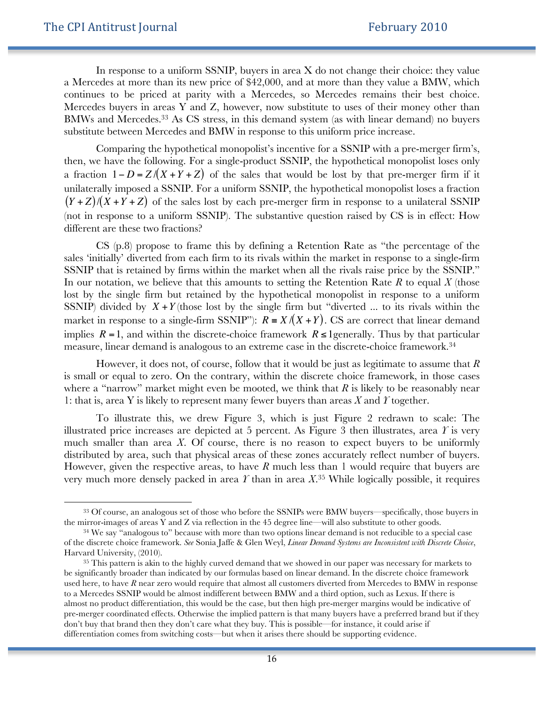1

In response to a uniform SSNIP, buyers in area X do not change their choice: they value a Mercedes at more than its new price of \$42,000, and at more than they value a BMW, which continues to be priced at parity with a Mercedes, so Mercedes remains their best choice. Mercedes buyers in areas Y and Z, however, now substitute to uses of their money other than BMWs and Mercedes.<sup>33</sup> As CS stress, in this demand system (as with linear demand) no buyers substitute between Mercedes and BMW in response to this uniform price increase.

Comparing the hypothetical monopolist's incentive for a SSNIP with a pre-merger firm's, then, we have the following. For a single-product SSNIP, the hypothetical monopolist loses only a fraction 1− *D* = *Z* /(*X* +*Y* + *Z*) of the sales that would be lost by that pre-merger firm if it different are these two fractions? unilaterally imposed a SSNIP. For a uniform SSNIP, the hypothetical monopolist loses a fraction  $(Y+Z)/(X+Y+Z)$  of the sales lost by each pre-merger firm in response to a unilateral SSNIP (not in response to a uniform SSNIP). The substantive question raised by CS is in effect: How

CS (p.8) propose to frame this by defining a Retention Rate as "the percentage of the sales 'initially' diverted from each firm to its rivals within the market in response to a single-firm SSNIP that is retained by firms within the market when all the rivals raise price by the SSNIP." In our notation, we believe that this amounts to setting the Retention Rate *R* to equal *X* (those lost by the single firm but retained by the hypothetical monopolist in response to a uniform SSNIP) divided by  $X + Y$  (those lost by the single firm but "diverted ... to its rivals within the measure, linear demand is analogous to an extreme case in the discrete-choice framework.<sup>34</sup> market in response to a single-firm SSNIP"):  $R = X/(X + Y)$ . CS are correct that linear demand implies  $R = 1$ , and within the discrete-choice framework  $R \leq 1$  generally. Thus by that particular

However, it does not, of course, follow that it would be just as legitimate to assume that *R* is small or equal to zero. On the contrary, within the discrete choice framework, in those cases where a "narrow" market might even be mooted, we think that  $R$  is likely to be reasonably near 1: that is, area Y is likely to represent many fewer buyers than areas *X* and *Y* together.

To illustrate this, we drew Figure 3, which is just Figure 2 redrawn to scale: The illustrated price increases are depicted at 5 percent. As Figure 3 then illustrates, area *Y* is very much smaller than area *X*. Of course, there is no reason to expect buyers to be uniformly distributed by area, such that physical areas of these zones accurately reflect number of buyers. However, given the respective areas, to have *R* much less than 1 would require that buyers are very much more densely packed in area *Y* than in area *X*. <sup>35</sup> While logically possible, it requires

<sup>33</sup> Of course, an analogous set of those who before the SSNIPs were BMW buyers—specifically, those buyers in the mirror-images of areas Y and Z via reflection in the 45 degree line—will also substitute to other goods.

<sup>&</sup>lt;sup>34</sup> We say "analogous to" because with more than two options linear demand is not reducible to a special case of the discrete choice framework. *See* Sonia Jaffe & Glen Weyl, *Linear Demand Systems are Inconsistent with Discrete Choice*, Harvard University, (2010).

<sup>&</sup>lt;sup>35</sup> This pattern is akin to the highly curved demand that we showed in our paper was necessary for markets to be significantly broader than indicated by our formulas based on linear demand. In the discrete choice framework used here, to have *R* near zero would require that almost all customers diverted from Mercedes to BMW in response to a Mercedes SSNIP would be almost indifferent between BMW and a third option, such as Lexus. If there is almost no product differentiation, this would be the case, but then high pre-merger margins would be indicative of pre-merger coordinated effects. Otherwise the implied pattern is that many buyers have a preferred brand but if they don't buy that brand then they don't care what they buy. This is possible—for instance, it could arise if differentiation comes from switching costs—but when it arises there should be supporting evidence.